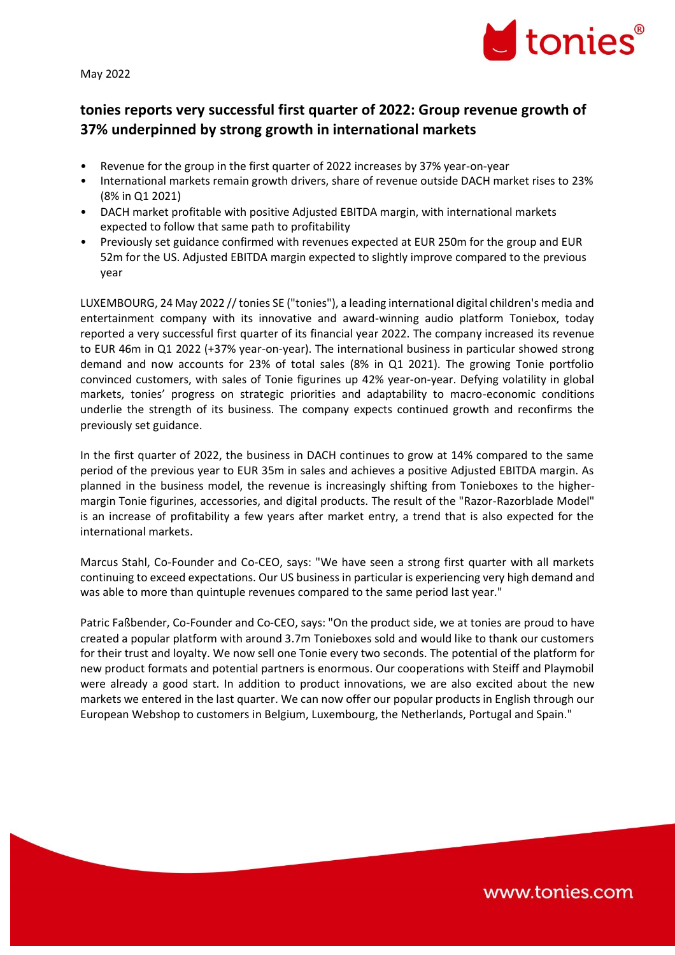May 2022



# **tonies reports very successful first quarter of 2022: Group revenue growth of 37% underpinned by strong growth in international markets**

- Revenue for the group in the first quarter of 2022 increases by 37% year-on-year
- International markets remain growth drivers, share of revenue outside DACH market rises to 23% (8% in Q1 2021)
- DACH market profitable with positive Adjusted EBITDA margin, with international markets expected to follow that same path to profitability
- Previously set guidance confirmed with revenues expected at EUR 250m for the group and EUR 52m for the US. Adjusted EBITDA margin expected to slightly improve compared to the previous year

LUXEMBOURG, 24 May 2022 // tonies SE ("tonies"), a leading international digital children's media and entertainment company with its innovative and award-winning audio platform Toniebox, today reported a very successful first quarter of its financial year 2022. The company increased its revenue to EUR 46m in Q1 2022 (+37% year-on-year). The international business in particular showed strong demand and now accounts for 23% of total sales (8% in Q1 2021). The growing Tonie portfolio convinced customers, with sales of Tonie figurines up 42% year-on-year. Defying volatility in global markets, tonies' progress on strategic priorities and adaptability to macro-economic conditions underlie the strength of its business. The company expects continued growth and reconfirms the previously set guidance.

In the first quarter of 2022, the business in DACH continues to grow at 14% compared to the same period of the previous year to EUR 35m in sales and achieves a positive Adjusted EBITDA margin. As planned in the business model, the revenue is increasingly shifting from Tonieboxes to the highermargin Tonie figurines, accessories, and digital products. The result of the "Razor-Razorblade Model" is an increase of profitability a few years after market entry, a trend that is also expected for the international markets.

Marcus Stahl, Co-Founder and Co-CEO, says: "We have seen a strong first quarter with all markets continuing to exceed expectations. Our US business in particular is experiencing very high demand and was able to more than quintuple revenues compared to the same period last year."

Patric Faßbender, Co-Founder and Co-CEO, says: "On the product side, we at tonies are proud to have created a popular platform with around 3.7m Tonieboxes sold and would like to thank our customers for their trust and loyalty. We now sell one Tonie every two seconds. The potential of the platform for new product formats and potential partners is enormous. Our cooperations with Steiff and Playmobil were already a good start. In addition to product innovations, we are also excited about the new markets we entered in the last quarter. We can now offer our popular products in English through our European Webshop to customers in Belgium, Luxembourg, the Netherlands, Portugal and Spain."

www.tonies.com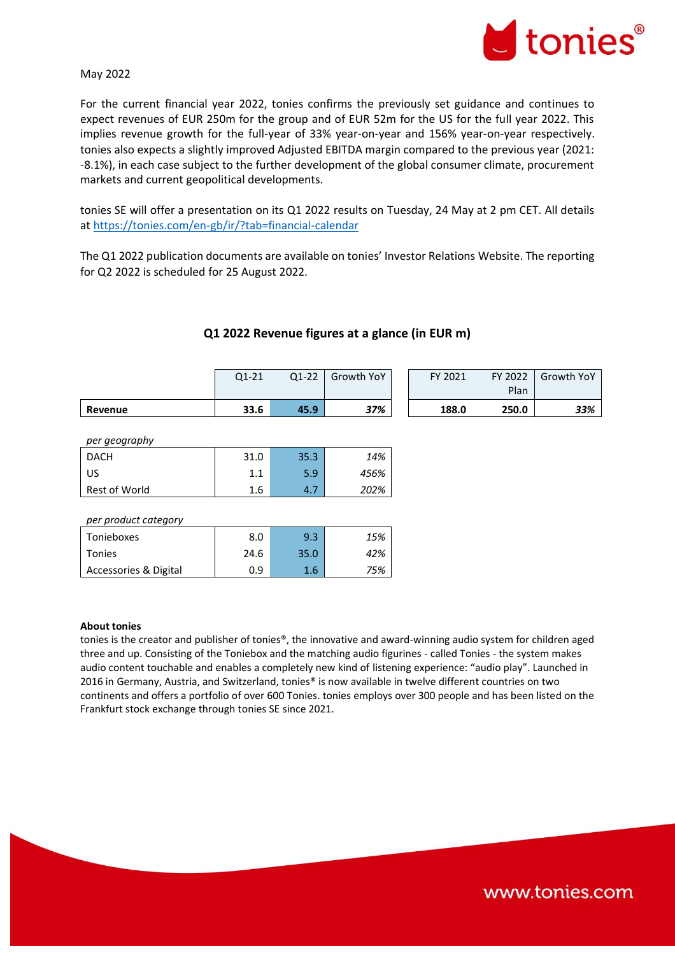

### May 2022

For the current financial year 2022, tonies confirms the previously set guidance and continues to expect revenues of EUR 250m for the group and of EUR 52m for the US for the full year 2022. This implies revenue growth for the full-year of 33% year-on-year and 156% year-on-year respectively. tonies also expects a slightly improved Adjusted EBITDA margin compared to the previous year (2021: -8.1%), in each case subject to the further development of the global consumer climate, procurement markets and current geopolitical developments.

tonies SE will offer a presentation on its Q1 2022 results on Tuesday, 24 May at 2 pm CET. All details at<https://tonies.com/en-gb/ir/?tab=financial-calendar>

The Q1 2022 publication documents are available on tonies' Investor Relations Website. The reporting for Q2 2022 is scheduled for 25 August 2022.

|                      | $Q1-21$ | $Q1-22$ | Growth YoY | FY 2021 | FY 2022<br>Plan | Growth YoY |
|----------------------|---------|---------|------------|---------|-----------------|------------|
| Revenue              | 33.6    | 45.9    | 37%        | 188.0   | 250.0           | 33%        |
|                      |         |         |            |         |                 |            |
| per geography        |         |         |            |         |                 |            |
| <b>DACH</b>          | 31.0    | 35.3    | 14%        |         |                 |            |
| US                   | 1.1     | 5.9     | 456%       |         |                 |            |
| Rest of World        | 1.6     | 4.7     | 202%       |         |                 |            |
|                      |         |         |            |         |                 |            |
| per product category |         |         |            |         |                 |            |
| Tonieboxes           | 8.0     | 9.3     | 15%        |         |                 |            |
| Tonies               | 24.6    | 35.0    | 42%        |         |                 |            |

### **Q1 2022 Revenue figures at a glance (in EUR m)**

#### **About tonies**

tonies is the creator and publisher of tonies®, the innovative and award-winning audio system for children aged three and up. Consisting of the Toniebox and the matching audio figurines - called Tonies - the system makes audio content touchable and enables a completely new kind of listening experience: "audio play". Launched in 2016 in Germany, Austria, and Switzerland, tonies® is now available in twelve different countries on two continents and offers a portfolio of over 600 Tonies. tonies employs over 300 people and has been listed on the Frankfurt stock exchange through tonies SE since 2021.

Accessories & Digital  $\begin{array}{|c|c|c|c|c|c|} \hline \text{A} & \text{A} & \text{B} & \text{B} & \text{B} \\ \hline \end{array}$ 

www.tonies.com